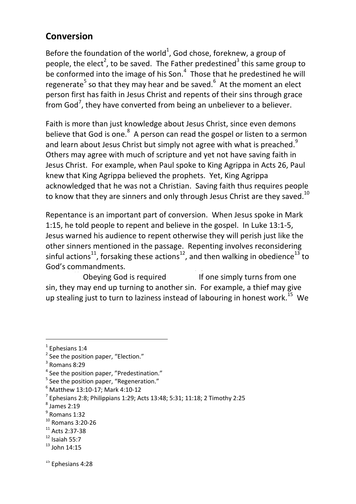## **Conversion**

Before the foundation of the world<sup>1</sup>, God chose, foreknew, a group of people, the elect<sup>2</sup>, to be saved. The Father predestined<sup>3</sup> this same group to be conformed into the image of his Son.<sup>4</sup> Those that he predestined he will regenerate<sup>5</sup> so that they may hear and be saved.<sup>6</sup> At the moment an elect person first has faith in Jesus Christ and repents of their sins through grace from God<sup>7</sup>, they have converted from being an unbeliever to a believer.

Faith is more than just knowledge about Jesus Christ, since even demons believe that God is one. $^8$  A person can read the gospel or listen to a sermon and learn about Jesus Christ but simply not agree with what is preached.<sup>9</sup> Others may agree with much of scripture and yet not have saving faith in Jesus Christ. For example, when Paul spoke to King Agrippa in Acts 26, Paul knew that King Agrippa believed the prophets. Yet, King Agrippa acknowledged that he was not a Christian. Saving faith thus requires people to know that they are sinners and only through Jesus Christ are they saved.<sup>10</sup>

Repentance is an important part of conversion. When Jesus spoke in Mark 1:15, he told people to repent and believe in the gospel. In Luke 13:1-5, Jesus warned his audience to repent otherwise they will perish just like the other sinners mentioned in the passage. Repenting involves reconsidering sinful actions<sup>11</sup>, forsaking these actions<sup>12</sup>, and then walking in obedience<sup>13</sup> to God's commandments.

Obeying God is required If one simply turns from one sin, they may end up turning to another sin. For example, a thief may give up stealing just to turn to laziness instead of labouring in honest work.<sup>15</sup> We

 $\overline{a}$ 

<sup>15</sup> Ephesians 4:28

 $<sup>1</sup>$  Ephesians 1:4</sup>

 $2$  See the position paper, "Election."

 $3$  Romans 8:29

<sup>&</sup>lt;sup>4</sup> See the position paper, "Predestination."

<sup>&</sup>lt;sup>5</sup> See the position paper, "Regeneration."

<sup>6</sup> Matthew 13:10-17; Mark 4:10-12

<sup>&</sup>lt;sup>7</sup> Ephesians 2:8; Philippians 1:29; Acts 13:48; 5:31; 11:18; 2 Timothy 2:25

<sup>8</sup> James 2:19

<sup>9</sup> Romans 1:32

<sup>10</sup> Romans 3:20-26

<sup>11</sup> Acts 2:37-38

 $12$  Isaiah 55:7

 $13$  John 14:15